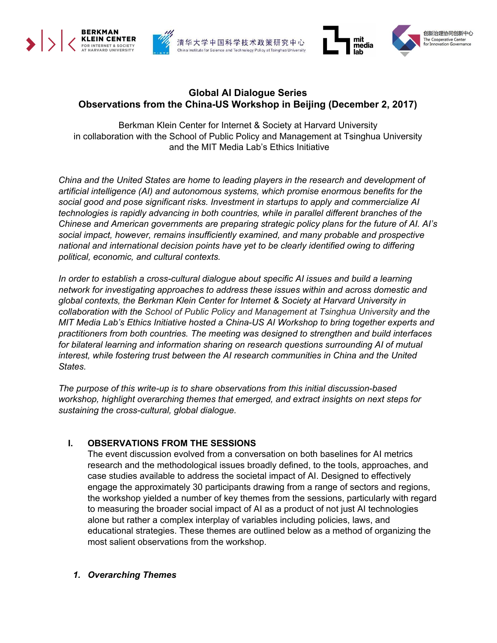





## **Global AI Dialogue Series Observations from the China-US Workshop in Beijing (December 2, 2017)**

Berkman Klein Center for Internet & Society at Harvard University in collaboration with the School of Public Policy and Management at Tsinghua University and the MIT Media Lab's Ethics Initiative

*China and the United States are home to leading players in the research and development of artificial intelligence (AI) and autonomous systems, which promise enormous benefits for the social good and pose significant risks. Investment in startups to apply and commercialize AI technologies is rapidly advancing in both countries, while in parallel different branches of the Chinese and American governments are preparing strategic policy plans for the future of AI. AI's social impact, however, remains insufficiently examined, and many probable and prospective national and international decision points have yet to be clearly identified owing to differing political, economic, and cultural contexts.*

*In order to establish a cross-cultural dialogue about specific AI issues and build a learning network for investigating approaches to address these issues within and across domestic and global contexts, the Berkman Klein Center for Internet & Society at Harvard University in collaboration with the School of Public Policy and Management at Tsinghua University and the MIT Media Lab's Ethics Initiative hosted a China-US AI Workshop to bring together experts and practitioners from both countries. The meeting was designed to strengthen and build interfaces for bilateral learning and information sharing on research questions surrounding AI of mutual interest, while fostering trust between the AI research communities in China and the United States.*

*The purpose of this write-up is to share observations from this initial discussion-based workshop, highlight overarching themes that emerged, and extract insights on next steps for sustaining the cross-cultural, global dialogue.*

## **I. OBSERVATIONS FROM THE SESSIONS**

The event discussion evolved from a conversation on both baselines for AI metrics research and the methodological issues broadly defined, to the tools, approaches, and case studies available to address the societal impact of AI. Designed to effectively engage the approximately 30 participants drawing from a range of sectors and regions, the workshop yielded a number of key themes from the sessions, particularly with regard to measuring the broader social impact of AI as a product of not just AI technologies alone but rather a complex interplay of variables including policies, laws, and educational strategies. These themes are outlined below as a method of organizing the most salient observations from the workshop.

### *1. Overarching Themes*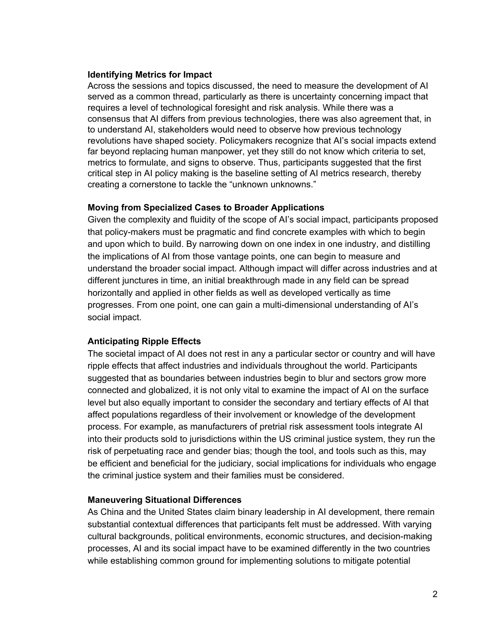#### **Identifying Metrics for Impact**

Across the sessions and topics discussed, the need to measure the development of AI served as a common thread, particularly as there is uncertainty concerning impact that requires a level of technological foresight and risk analysis. While there was a consensus that AI differs from previous technologies, there was also agreement that, in to understand AI, stakeholders would need to observe how previous technology revolutions have shaped society. Policymakers recognize that AI's social impacts extend far beyond replacing human manpower, yet they still do not know which criteria to set, metrics to formulate, and signs to observe. Thus, participants suggested that the first critical step in AI policy making is the baseline setting of AI metrics research, thereby creating a cornerstone to tackle the "unknown unknowns."

### **Moving from Specialized Cases to Broader Applications**

Given the complexity and fluidity of the scope of AI's social impact, participants proposed that policy-makers must be pragmatic and find concrete examples with which to begin and upon which to build. By narrowing down on one index in one industry, and distilling the implications of AI from those vantage points, one can begin to measure and understand the broader social impact. Although impact will differ across industries and at different junctures in time, an initial breakthrough made in any field can be spread horizontally and applied in other fields as well as developed vertically as time progresses. From one point, one can gain a multi-dimensional understanding of AI's social impact.

## **Anticipating Ripple Effects**

The societal impact of AI does not rest in any a particular sector or country and will have ripple effects that affect industries and individuals throughout the world. Participants suggested that as boundaries between industries begin to blur and sectors grow more connected and globalized, it is not only vital to examine the impact of AI on the surface level but also equally important to consider the secondary and tertiary effects of AI that affect populations regardless of their involvement or knowledge of the development process. For example, as manufacturers of pretrial risk assessment tools integrate AI into their products sold to jurisdictions within the US criminal justice system, they run the risk of perpetuating race and gender bias; though the tool, and tools such as this, may be efficient and beneficial for the judiciary, social implications for individuals who engage the criminal justice system and their families must be considered.

### **Maneuvering Situational Differences**

As China and the United States claim binary leadership in AI development, there remain substantial contextual differences that participants felt must be addressed. With varying cultural backgrounds, political environments, economic structures, and decision-making processes, AI and its social impact have to be examined differently in the two countries while establishing common ground for implementing solutions to mitigate potential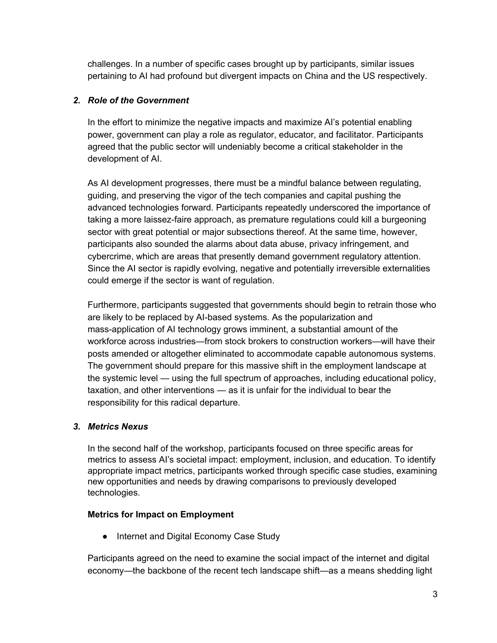challenges. In a number of specific cases brought up by participants, similar issues pertaining to AI had profound but divergent impacts on China and the US respectively.

# *2. Role of the Government*

In the effort to minimize the negative impacts and maximize AI's potential enabling power, government can play a role as regulator, educator, and facilitator. Participants agreed that the public sector will undeniably become a critical stakeholder in the development of AI.

As AI development progresses, there must be a mindful balance between regulating, guiding, and preserving the vigor of the tech companies and capital pushing the advanced technologies forward. Participants repeatedly underscored the importance of taking a more laissez-faire approach, as premature regulations could kill a burgeoning sector with great potential or major subsections thereof. At the same time, however, participants also sounded the alarms about data abuse, privacy infringement, and cybercrime, which are areas that presently demand government regulatory attention. Since the AI sector is rapidly evolving, negative and potentially irreversible externalities could emerge if the sector is want of regulation.

Furthermore, participants suggested that governments should begin to retrain those who are likely to be replaced by AI-based systems. As the popularization and mass-application of AI technology grows imminent, a substantial amount of the workforce across industries—from stock brokers to construction workers—will have their posts amended or altogether eliminated to accommodate capable autonomous systems. The government should prepare for this massive shift in the employment landscape at the systemic level — using the full spectrum of approaches, including educational policy, taxation, and other interventions — as it is unfair for the individual to bear the responsibility for this radical departure.

# *3. Metrics Nexus*

In the second half of the workshop, participants focused on three specific areas for metrics to assess AI's societal impact: employment, inclusion, and education. To identify appropriate impact metrics, participants worked through specific case studies, examining new opportunities and needs by drawing comparisons to previously developed technologies.

## **Metrics for Impact on Employment**

● Internet and Digital Economy Case Study

Participants agreed on the need to examine the social impact of the internet and digital economy—the backbone of the recent tech landscape shift—as a means shedding light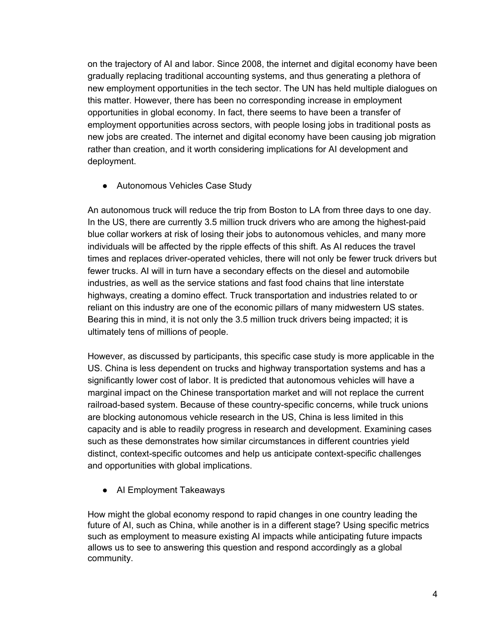on the trajectory of AI and labor. Since 2008, the internet and digital economy have been gradually replacing traditional accounting systems, and thus generating a plethora of new employment opportunities in the tech sector. The UN has held multiple dialogues on this matter. However, there has been no corresponding increase in employment opportunities in global economy. In fact, there seems to have been a transfer of employment opportunities across sectors, with people losing jobs in traditional posts as new jobs are created. The internet and digital economy have been causing job migration rather than creation, and it worth considering implications for AI development and deployment.

● Autonomous Vehicles Case Study

An autonomous truck will reduce the trip from Boston to LA from three days to one day. In the US, there are currently 3.5 million truck drivers who are among the highest-paid blue collar workers at risk of losing their jobs to autonomous vehicles, and many more individuals will be affected by the ripple effects of this shift. As AI reduces the travel times and replaces driver-operated vehicles, there will not only be fewer truck drivers but fewer trucks. AI will in turn have a secondary effects on the diesel and automobile industries, as well as the service stations and fast food chains that line interstate highways, creating a domino effect. Truck transportation and industries related to or reliant on this industry are one of the economic pillars of many midwestern US states. Bearing this in mind, it is not only the 3.5 million truck drivers being impacted; it is ultimately tens of millions of people.

However, as discussed by participants, this specific case study is more applicable in the US. China is less dependent on trucks and highway transportation systems and has a significantly lower cost of labor. It is predicted that autonomous vehicles will have a marginal impact on the Chinese transportation market and will not replace the current railroad-based system. Because of these country-specific concerns, while truck unions are blocking autonomous vehicle research in the US, China is less limited in this capacity and is able to readily progress in research and development. Examining cases such as these demonstrates how similar circumstances in different countries yield distinct, context-specific outcomes and help us anticipate context-specific challenges and opportunities with global implications.

• AI Employment Takeaways

How might the global economy respond to rapid changes in one country leading the future of AI, such as China, while another is in a different stage? Using specific metrics such as employment to measure existing AI impacts while anticipating future impacts allows us to see to answering this question and respond accordingly as a global community.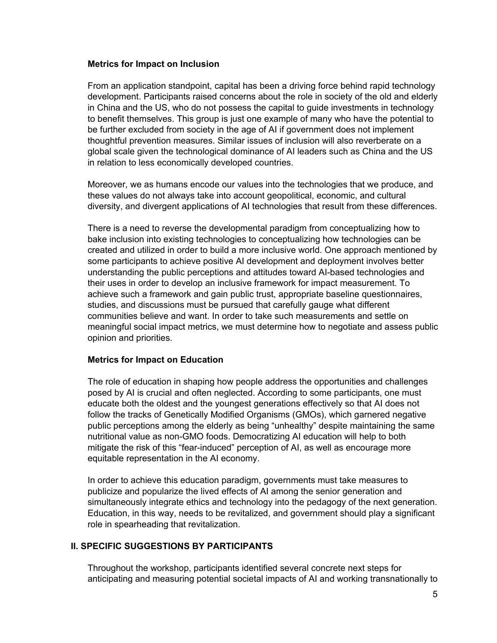#### **Metrics for Impact on Inclusion**

From an application standpoint, capital has been a driving force behind rapid technology development. Participants raised concerns about the role in society of the old and elderly in China and the US, who do not possess the capital to guide investments in technology to benefit themselves. This group is just one example of many who have the potential to be further excluded from society in the age of AI if government does not implement thoughtful prevention measures. Similar issues of inclusion will also reverberate on a global scale given the technological dominance of AI leaders such as China and the US in relation to less economically developed countries.

Moreover, we as humans encode our values into the technologies that we produce, and these values do not always take into account geopolitical, economic, and cultural diversity, and divergent applications of AI technologies that result from these differences.

There is a need to reverse the developmental paradigm from conceptualizing how to bake inclusion into existing technologies to conceptualizing how technologies can be created and utilized in order to build a more inclusive world. One approach mentioned by some participants to achieve positive AI development and deployment involves better understanding the public perceptions and attitudes toward AI-based technologies and their uses in order to develop an inclusive framework for impact measurement. To achieve such a framework and gain public trust, appropriate baseline questionnaires, studies, and discussions must be pursued that carefully gauge what different communities believe and want. In order to take such measurements and settle on meaningful social impact metrics, we must determine how to negotiate and assess public opinion and priorities.

### **Metrics for Impact on Education**

The role of education in shaping how people address the opportunities and challenges posed by AI is crucial and often neglected. According to some participants, one must educate both the oldest and the youngest generations effectively so that AI does not follow the tracks of Genetically Modified Organisms (GMOs), which garnered negative public perceptions among the elderly as being "unhealthy" despite maintaining the same nutritional value as non-GMO foods. Democratizing AI education will help to both mitigate the risk of this "fear-induced" perception of AI, as well as encourage more equitable representation in the AI economy.

In order to achieve this education paradigm, governments must take measures to publicize and popularize the lived effects of AI among the senior generation and simultaneously integrate ethics and technology into the pedagogy of the next generation. Education, in this way, needs to be revitalized, and government should play a significant role in spearheading that revitalization.

### **II. SPECIFIC SUGGESTIONS BY PARTICIPANTS**

Throughout the workshop, participants identified several concrete next steps for anticipating and measuring potential societal impacts of AI and working transnationally to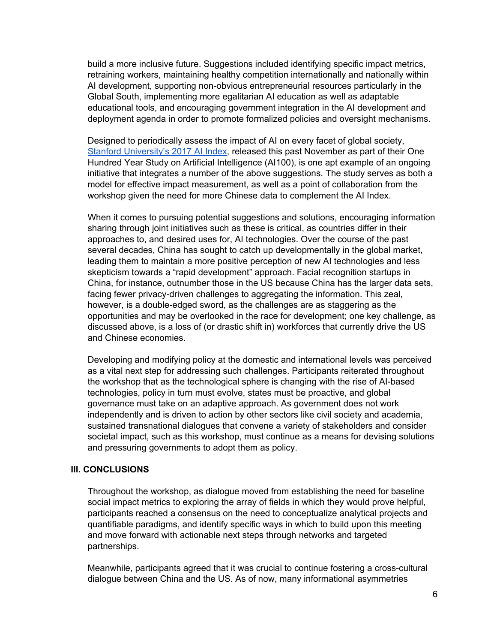build a more inclusive future. Suggestions included identifying specific impact metrics, retraining workers, maintaining healthy competition internationally and nationally within AI development, supporting non-obvious entrepreneurial resources particularly in the Global South, implementing more egalitarian AI education as well as adaptable educational tools, and encouraging government integration in the AI development and deployment agenda in order to promote formalized policies and oversight mechanisms.

Designed to periodically assess the impact of AI on every facet of global society, Stanford [University's](http://cdn.aiindex.org/2017-report.pdf) 2017 AI Index, released this past November as part of their One Hundred Year Study on Artificial Intelligence (AI100), is one apt example of an ongoing initiative that integrates a number of the above suggestions. The study serves as both a model for effective impact measurement, as well as a point of collaboration from the workshop given the need for more Chinese data to complement the AI Index.

When it comes to pursuing potential suggestions and solutions, encouraging information sharing through joint initiatives such as these is critical, as countries differ in their approaches to, and desired uses for, AI technologies. Over the course of the past several decades, China has sought to catch up developmentally in the global market, leading them to maintain a more positive perception of new AI technologies and less skepticism towards a "rapid development" approach. Facial recognition startups in China, for instance, outnumber those in the US because China has the larger data sets, facing fewer privacy-driven challenges to aggregating the information. This zeal, however, is a double-edged sword, as the challenges are as staggering as the opportunities and may be overlooked in the race for development; one key challenge, as discussed above, is a loss of (or drastic shift in) workforces that currently drive the US and Chinese economies.

Developing and modifying policy at the domestic and international levels was perceived as a vital next step for addressing such challenges. Participants reiterated throughout the workshop that as the technological sphere is changing with the rise of AI-based technologies, policy in turn must evolve, states must be proactive, and global governance must take on an adaptive approach. As government does not work independently and is driven to action by other sectors like civil society and academia, sustained transnational dialogues that convene a variety of stakeholders and consider societal impact, such as this workshop, must continue as a means for devising solutions and pressuring governments to adopt them as policy.

### **III. CONCLUSIONS**

Throughout the workshop, as dialogue moved from establishing the need for baseline social impact metrics to exploring the array of fields in which they would prove helpful, participants reached a consensus on the need to conceptualize analytical projects and quantifiable paradigms, and identify specific ways in which to build upon this meeting and move forward with actionable next steps through networks and targeted partnerships.

Meanwhile, participants agreed that it was crucial to continue fostering a cross-cultural dialogue between China and the US. As of now, many informational asymmetries